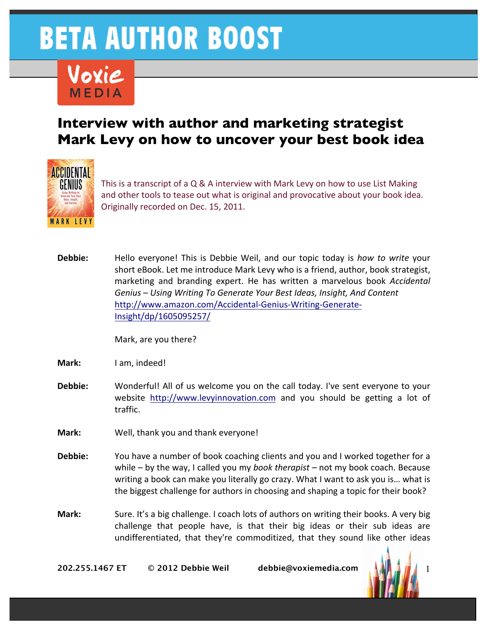

#### **Interview with author and marketing strategist Mark Levy on how to uncover your best book idea**



This is a transcript of a  $Q & A$  interview with Mark Levy on how to use List Making and other tools to tease out what is original and provocative about your book idea. Originally recorded on Dec. 15, 2011.

**Debbie:** Hello everyone! This is Debbie Weil, and our topic today is *how to write* your short eBook. Let me introduce Mark Levy who is a friend, author, book strategist, marketing and branding expert. He has written a marvelous book *Accidental* Genius - Using Writing To Generate Your Best Ideas, Insight, And Content http://www.amazon.com/Accidental-Genius-Writing-Generate-Insight/dp/1605095257/

Mark, are you there?

**Mark:** I am, indeed!

- **Debbie:** Wonderful! All of us welcome you on the call today. I've sent everyone to your website http://www.levyinnovation.com and you should be getting a lot of traffic.
- **Mark:** Well, thank you and thank everyone!
- **Debbie:** You have a number of book coaching clients and you and I worked together for a while – by the way, I called you my *book therapist* – not my book coach. Because writing a book can make you literally go crazy. What I want to ask you is... what is the biggest challenge for authors in choosing and shaping a topic for their book?
- **Mark:** Sure. It's a big challenge. I coach lots of authors on writing their books. A very big challenge that people have, is that their big ideas or their sub ideas are undifferentiated, that they're commoditized, that they sound like other ideas

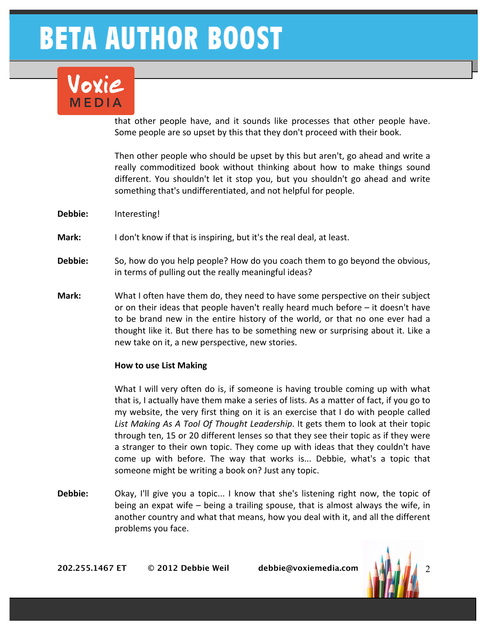### Voxie MEDIA

that other people have, and it sounds like processes that other people have. Some people are so upset by this that they don't proceed with their book.

Then other people who should be upset by this but aren't, go ahead and write a really commoditized book without thinking about how to make things sound different. You shouldn't let it stop you, but you shouldn't go ahead and write something that's undifferentiated, and not helpful for people.

- **Debbie:** Interesting!
- **Mark:** I don't know if that is inspiring, but it's the real deal, at least.
- **Debbie:** So, how do you help people? How do you coach them to go beyond the obvious, in terms of pulling out the really meaningful ideas?
- **Mark:** What I often have them do, they need to have some perspective on their subject or on their ideas that people haven't really heard much before  $-$  it doesn't have to be brand new in the entire history of the world, or that no one ever had a thought like it. But there has to be something new or surprising about it. Like a new take on it, a new perspective, new stories.

#### **How to use List Making**

What I will very often do is, if someone is having trouble coming up with what that is, I actually have them make a series of lists. As a matter of fact, if you go to my website, the very first thing on it is an exercise that I do with people called List Making As A Tool Of Thought Leadership. It gets them to look at their topic through ten, 15 or 20 different lenses so that they see their topic as if they were a stranger to their own topic. They come up with ideas that they couldn't have come up with before. The way that works is... Debbie, what's a topic that someone might be writing a book on? Just any topic.

**Debbie:** Okay, I'll give you a topic... I know that she's listening right now, the topic of being an expat wife  $-$  being a trailing spouse, that is almost always the wife, in another country and what that means, how you deal with it, and all the different problems you face.

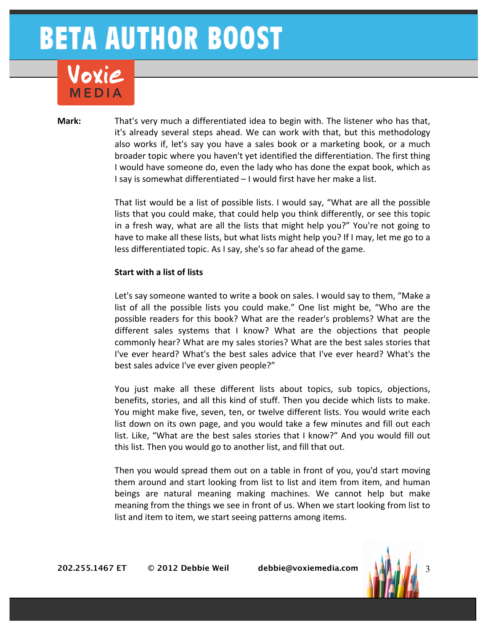## Voxie

**Mark:** That's very much a differentiated idea to begin with. The listener who has that, it's already several steps ahead. We can work with that, but this methodology also works if, let's say you have a sales book or a marketing book, or a much broader topic where you haven't yet identified the differentiation. The first thing I would have someone do, even the lady who has done the expat book, which as I say is somewhat differentiated - I would first have her make a list.

> That list would be a list of possible lists. I would say, "What are all the possible lists that you could make, that could help you think differently, or see this topic in a fresh way, what are all the lists that might help you?" You're not going to have to make all these lists, but what lists might help you? If I may, let me go to a less differentiated topic. As I say, she's so far ahead of the game.

#### **Start with a list of lists**

Let's say someone wanted to write a book on sales. I would say to them, "Make a list of all the possible lists you could make." One list might be, "Who are the possible readers for this book? What are the reader's problems? What are the different sales systems that I know? What are the objections that people commonly hear? What are my sales stories? What are the best sales stories that I've ever heard? What's the best sales advice that I've ever heard? What's the best sales advice I've ever given people?"

You just make all these different lists about topics, sub topics, objections, benefits, stories, and all this kind of stuff. Then you decide which lists to make. You might make five, seven, ten, or twelve different lists. You would write each list down on its own page, and you would take a few minutes and fill out each list. Like, "What are the best sales stories that I know?" And you would fill out this list. Then you would go to another list, and fill that out.

Then you would spread them out on a table in front of you, you'd start moving them around and start looking from list to list and item from item, and human beings are natural meaning making machines. We cannot help but make meaning from the things we see in front of us. When we start looking from list to list and item to item, we start seeing patterns among items.

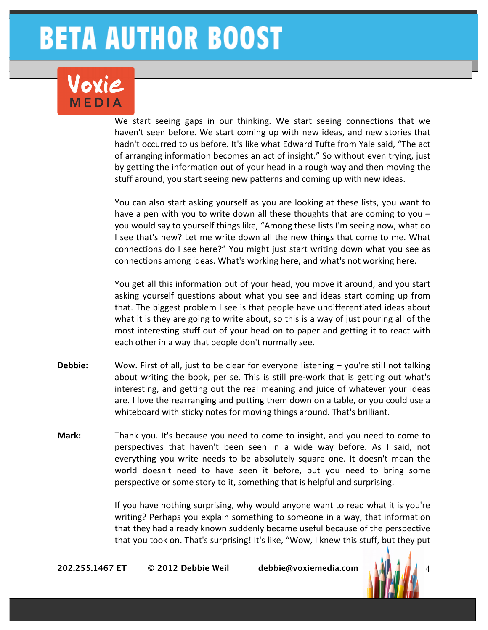# Voxie

We start seeing gaps in our thinking. We start seeing connections that we haven't seen before. We start coming up with new ideas, and new stories that hadn't occurred to us before. It's like what Edward Tufte from Yale said, "The act of arranging information becomes an act of insight." So without even trying, just by getting the information out of your head in a rough way and then moving the stuff around, you start seeing new patterns and coming up with new ideas.

You can also start asking yourself as you are looking at these lists, you want to have a pen with you to write down all these thoughts that are coming to you  $$ you would say to yourself things like, "Among these lists I'm seeing now, what do I see that's new? Let me write down all the new things that come to me. What connections do I see here?" You might just start writing down what you see as connections among ideas. What's working here, and what's not working here.

You get all this information out of your head, you move it around, and you start asking yourself questions about what you see and ideas start coming up from that. The biggest problem I see is that people have undifferentiated ideas about what it is they are going to write about, so this is a way of just pouring all of the most interesting stuff out of your head on to paper and getting it to react with each other in a way that people don't normally see.

- **Debbie:** Wow. First of all, just to be clear for everyone listening you're still not talking about writing the book, per se. This is still pre-work that is getting out what's interesting, and getting out the real meaning and juice of whatever your ideas are. I love the rearranging and putting them down on a table, or you could use a whiteboard with sticky notes for moving things around. That's brilliant.
- **Mark:** Thank you. It's because you need to come to insight, and you need to come to perspectives that haven't been seen in a wide way before. As I said, not everything you write needs to be absolutely square one. It doesn't mean the world doesn't need to have seen it before, but you need to bring some perspective or some story to it, something that is helpful and surprising.

If you have nothing surprising, why would anyone want to read what it is you're writing? Perhaps you explain something to someone in a way, that information that they had already known suddenly became useful because of the perspective that you took on. That's surprising! It's like, "Wow, I knew this stuff, but they put

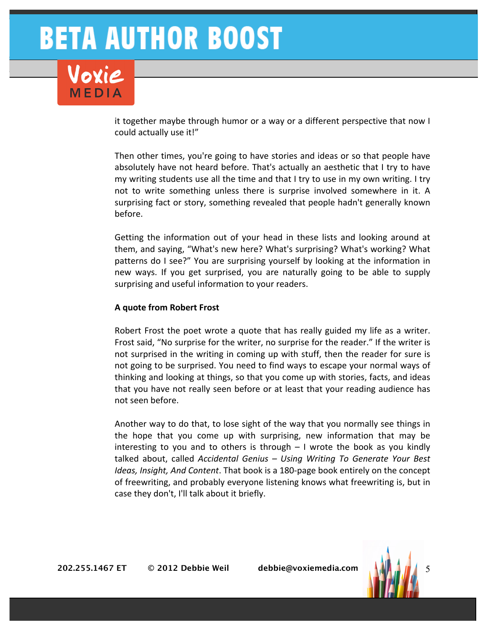lovie

it together maybe through humor or a way or a different perspective that now I could actually use it!"

Then other times, you're going to have stories and ideas or so that people have absolutely have not heard before. That's actually an aesthetic that I try to have my writing students use all the time and that I try to use in my own writing. I try not to write something unless there is surprise involved somewhere in it. A surprising fact or story, something revealed that people hadn't generally known before.

Getting the information out of your head in these lists and looking around at them, and saying, "What's new here? What's surprising? What's working? What patterns do I see?" You are surprising yourself by looking at the information in new ways. If you get surprised, you are naturally going to be able to supply surprising and useful information to your readers.

#### **A quote from Robert Frost**

Robert Frost the poet wrote a quote that has really guided my life as a writer. Frost said, "No surprise for the writer, no surprise for the reader." If the writer is not surprised in the writing in coming up with stuff, then the reader for sure is not going to be surprised. You need to find ways to escape your normal ways of thinking and looking at things, so that you come up with stories, facts, and ideas that you have not really seen before or at least that your reading audience has not seen before.

Another way to do that, to lose sight of the way that you normally see things in the hope that you come up with surprising, new information that may be interesting to you and to others is through  $-1$  wrote the book as you kindly talked about, called *Accidental Genius* - Using Writing To Generate Your Best *Ideas, Insight, And Content*. That book is a 180-page book entirely on the concept of freewriting, and probably everyone listening knows what freewriting is, but in case they don't, I'll talk about it briefly.

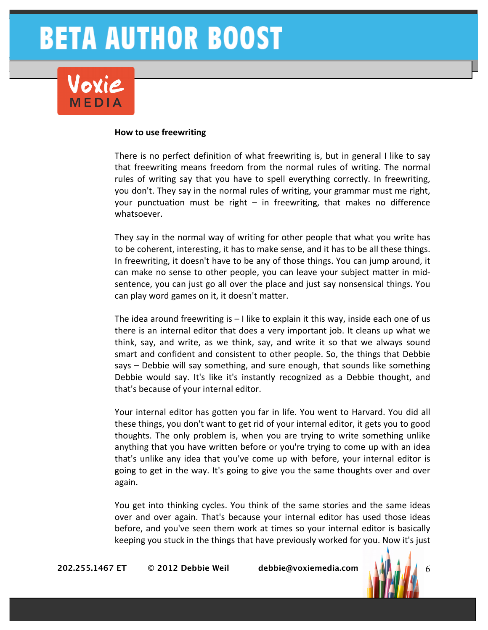#### **How to use freewriting**

There is no perfect definition of what freewriting is, but in general I like to say that freewriting means freedom from the normal rules of writing. The normal rules of writing say that you have to spell everything correctly. In freewriting, you don't. They say in the normal rules of writing, your grammar must me right, your punctuation must be right  $-$  in freewriting, that makes no difference whatsoever.

They say in the normal way of writing for other people that what you write has to be coherent, interesting, it has to make sense, and it has to be all these things. In freewriting, it doesn't have to be any of those things. You can jump around, it can make no sense to other people, you can leave your subject matter in midsentence, you can just go all over the place and just say nonsensical things. You can play word games on it, it doesn't matter.

The idea around freewriting is  $-1$  like to explain it this way, inside each one of us there is an internal editor that does a very important job. It cleans up what we think, say, and write, as we think, say, and write it so that we always sound smart and confident and consistent to other people. So, the things that Debbie says – Debbie will say something, and sure enough, that sounds like something Debbie would say. It's like it's instantly recognized as a Debbie thought, and that's because of your internal editor.

Your internal editor has gotten you far in life. You went to Harvard. You did all these things, you don't want to get rid of your internal editor, it gets you to good thoughts. The only problem is, when you are trying to write something unlike anything that you have written before or you're trying to come up with an idea that's unlike any idea that you've come up with before, your internal editor is going to get in the way. It's going to give you the same thoughts over and over again.

You get into thinking cycles. You think of the same stories and the same ideas over and over again. That's because your internal editor has used those ideas before, and you've seen them work at times so your internal editor is basically keeping you stuck in the things that have previously worked for you. Now it's just

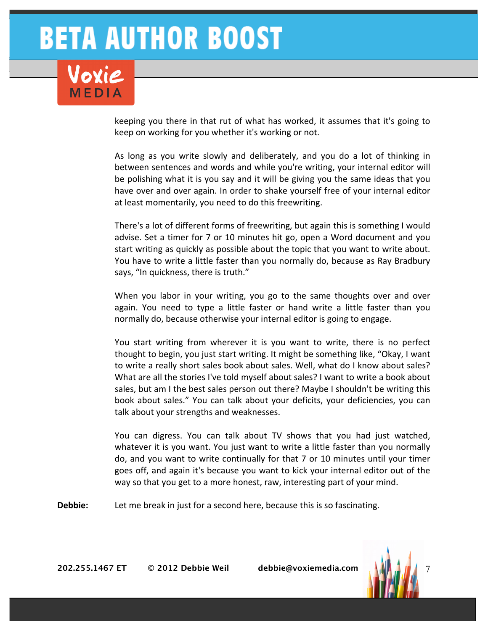## Joxie

keeping you there in that rut of what has worked, it assumes that it's going to keep on working for you whether it's working or not.

As long as you write slowly and deliberately, and you do a lot of thinking in between sentences and words and while you're writing, your internal editor will be polishing what it is you say and it will be giving you the same ideas that you have over and over again. In order to shake yourself free of your internal editor at least momentarily, you need to do this freewriting.

There's a lot of different forms of freewriting, but again this is something I would advise. Set a timer for 7 or 10 minutes hit go, open a Word document and you start writing as quickly as possible about the topic that you want to write about. You have to write a little faster than you normally do, because as Ray Bradbury says, "In quickness, there is truth."

When you labor in your writing, you go to the same thoughts over and over again. You need to type a little faster or hand write a little faster than you normally do, because otherwise your internal editor is going to engage.

You start writing from wherever it is you want to write, there is no perfect thought to begin, you just start writing. It might be something like, "Okay, I want to write a really short sales book about sales. Well, what do I know about sales? What are all the stories I've told myself about sales? I want to write a book about sales, but am I the best sales person out there? Maybe I shouldn't be writing this book about sales." You can talk about your deficits, your deficiencies, you can talk about your strengths and weaknesses.

You can digress. You can talk about TV shows that you had just watched, whatever it is you want. You just want to write a little faster than you normally do, and you want to write continually for that 7 or 10 minutes until your timer goes off, and again it's because you want to kick your internal editor out of the way so that you get to a more honest, raw, interesting part of your mind.

**Debbie:** Let me break in just for a second here, because this is so fascinating.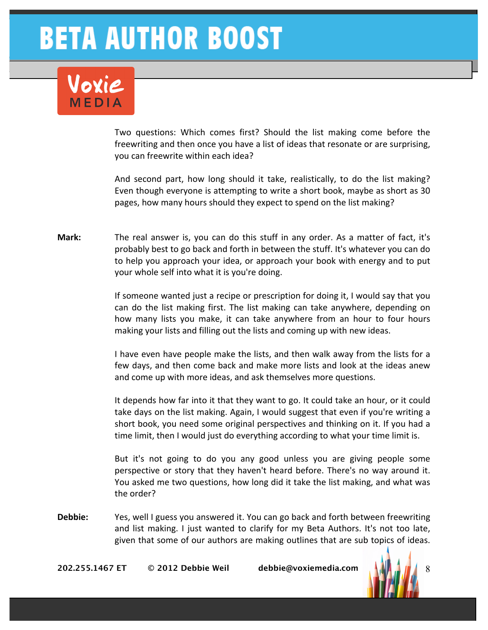# Joxie

Two questions: Which comes first? Should the list making come before the freewriting and then once you have a list of ideas that resonate or are surprising, you can freewrite within each idea?

And second part, how long should it take, realistically, to do the list making? Even though everyone is attempting to write a short book, maybe as short as 30 pages, how many hours should they expect to spend on the list making?

**Mark:** The real answer is, you can do this stuff in any order. As a matter of fact, it's probably best to go back and forth in between the stuff. It's whatever you can do to help you approach your idea, or approach your book with energy and to put your whole self into what it is you're doing.

> If someone wanted just a recipe or prescription for doing it, I would say that you can do the list making first. The list making can take anywhere, depending on how many lists you make, it can take anywhere from an hour to four hours making your lists and filling out the lists and coming up with new ideas.

> I have even have people make the lists, and then walk away from the lists for a few days, and then come back and make more lists and look at the ideas anew and come up with more ideas, and ask themselves more questions.

> It depends how far into it that they want to go. It could take an hour, or it could take days on the list making. Again, I would suggest that even if you're writing a short book, you need some original perspectives and thinking on it. If you had a time limit, then I would just do everything according to what your time limit is.

> But it's not going to do you any good unless you are giving people some perspective or story that they haven't heard before. There's no way around it. You asked me two questions, how long did it take the list making, and what was the order?

**Debbie:** Yes, well I guess you answered it. You can go back and forth between freewriting and list making. I just wanted to clarify for my Beta Authors. It's not too late, given that some of our authors are making outlines that are sub topics of ideas.

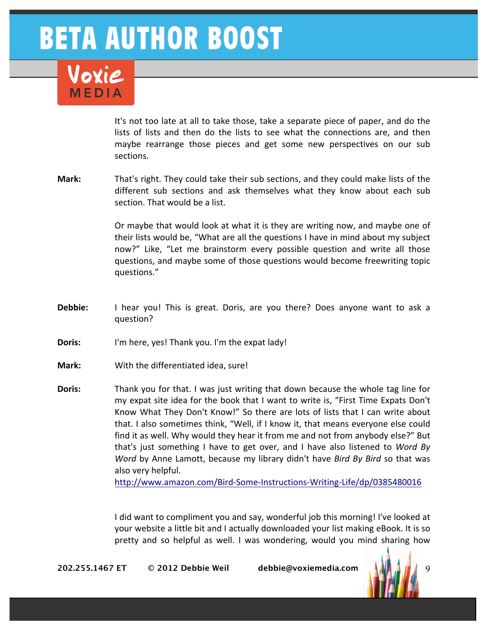

It's not too late at all to take those, take a separate piece of paper, and do the lists of lists and then do the lists to see what the connections are, and then maybe rearrange those pieces and get some new perspectives on our sub sections.

**Mark:** That's right. They could take their sub sections, and they could make lists of the different sub sections and ask themselves what they know about each sub section. That would be a list.

> Or maybe that would look at what it is they are writing now, and maybe one of their lists would be, "What are all the questions I have in mind about my subject now?" Like, "Let me brainstorm every possible question and write all those questions, and maybe some of those questions would become freewriting topic questions."

- **Debbie:** I hear you! This is great. Doris, are you there? Does anyone want to ask a question?
- **Doris:** I'm here, yes! Thank you. I'm the expat lady!
- **Mark:** With the differentiated idea, sure!
- **Doris:** Thank you for that. I was just writing that down because the whole tag line for my expat site idea for the book that I want to write is, "First Time Expats Don't Know What They Don't Know!" So there are lots of lists that I can write about that. I also sometimes think, "Well, if I know it, that means everyone else could find it as well. Why would they hear it from me and not from anybody else?" But that's just something I have to get over, and I have also listened to *Word By Word* by Anne Lamott, because my library didn't have *Bird By Bird* so that was also very helpful.

http://www.amazon.com/Bird-Some-Instructions-Writing-Life/dp/0385480016

I did want to compliment you and say, wonderful job this morning! I've looked at your website a little bit and I actually downloaded your list making eBook. It is so pretty and so helpful as well. I was wondering, would you mind sharing how

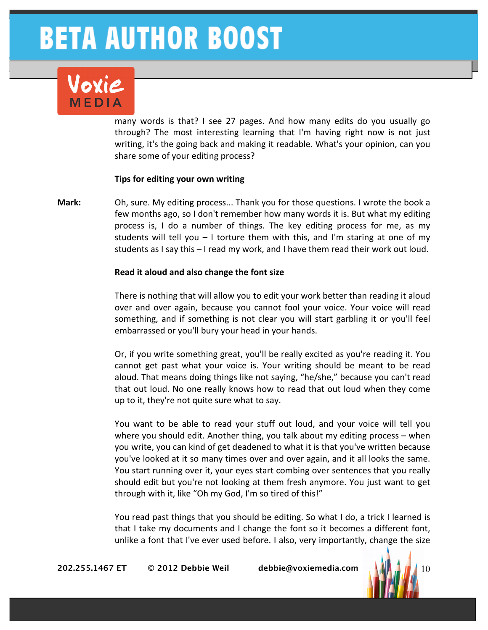# lovie

many words is that? I see 27 pages. And how many edits do you usually go through? The most interesting learning that I'm having right now is not just writing, it's the going back and making it readable. What's your opinion, can you share some of your editing process?

#### **Tips for editing your own writing**

**Mark:** Oh, sure. My editing process... Thank you for those questions. I wrote the book a few months ago, so I don't remember how many words it is. But what my editing process is, I do a number of things. The key editing process for me, as my students will tell you  $-1$  torture them with this, and I'm staring at one of my students as I say this  $-1$  read my work, and I have them read their work out loud.

#### **Read it aloud and also change the font size**

There is nothing that will allow you to edit your work better than reading it aloud over and over again, because you cannot fool your voice. Your voice will read something, and if something is not clear you will start garbling it or you'll feel embarrassed or you'll bury your head in your hands.

Or, if you write something great, you'll be really excited as you're reading it. You cannot get past what your voice is. Your writing should be meant to be read aloud. That means doing things like not saying, "he/she," because you can't read that out loud. No one really knows how to read that out loud when they come up to it, they're not quite sure what to say.

You want to be able to read your stuff out loud, and your voice will tell you where you should edit. Another thing, you talk about my editing process  $-$  when you write, you can kind of get deadened to what it is that you've written because you've looked at it so many times over and over again, and it all looks the same. You start running over it, your eyes start combing over sentences that you really should edit but you're not looking at them fresh anymore. You just want to get through with it, like "Oh my God, I'm so tired of this!"

You read past things that you should be editing. So what I do, a trick I learned is that I take my documents and I change the font so it becomes a different font, unlike a font that I've ever used before. I also, very importantly, change the size

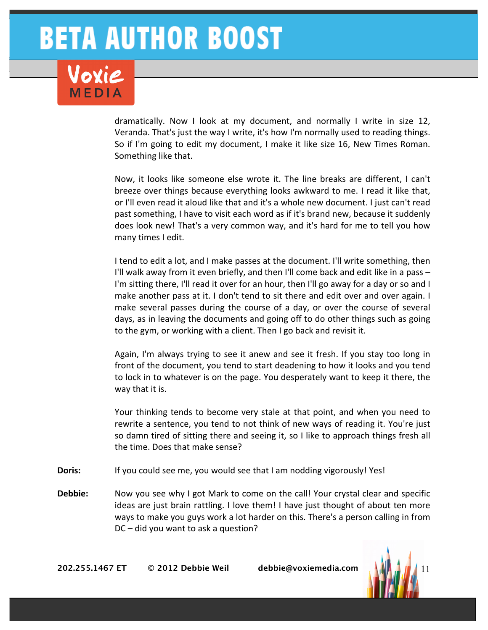dramatically. Now I look at my document, and normally I write in size 12, Veranda. That's just the way I write, it's how I'm normally used to reading things. So if I'm going to edit my document, I make it like size 16, New Times Roman. Something like that.

Now, it looks like someone else wrote it. The line breaks are different, I can't breeze over things because everything looks awkward to me. I read it like that, or I'll even read it aloud like that and it's a whole new document. I just can't read past something, I have to visit each word as if it's brand new, because it suddenly does look new! That's a very common way, and it's hard for me to tell you how many times I edit.

I tend to edit a lot, and I make passes at the document. I'll write something, then I'll walk away from it even briefly, and then I'll come back and edit like in a pass  $-$ I'm sitting there, I'll read it over for an hour, then I'll go away for a day or so and I make another pass at it. I don't tend to sit there and edit over and over again. I make several passes during the course of a day, or over the course of several days, as in leaving the documents and going off to do other things such as going to the gym, or working with a client. Then I go back and revisit it.

Again, I'm always trying to see it anew and see it fresh. If you stay too long in front of the document, you tend to start deadening to how it looks and you tend to lock in to whatever is on the page. You desperately want to keep it there, the way that it is.

Your thinking tends to become very stale at that point, and when you need to rewrite a sentence, you tend to not think of new ways of reading it. You're just so damn tired of sitting there and seeing it, so I like to approach things fresh all the time. Does that make sense?

- **Doris:** If you could see me, you would see that I am nodding vigorously! Yes!
- **Debbie:** Now you see why I got Mark to come on the call! Your crystal clear and specific ideas are just brain rattling. I love them! I have just thought of about ten more ways to make you guys work a lot harder on this. There's a person calling in from  $DC$  – did you want to ask a question?

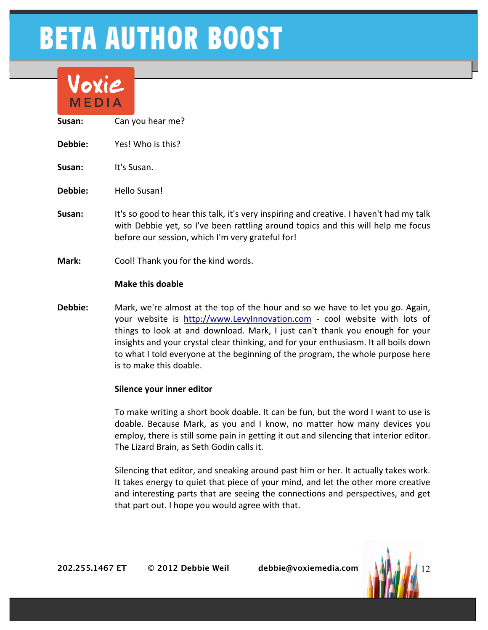

- **Susan:** Can you hear me?
- **Debbie:** Yes! Who is this?
- **Susan:** It's Susan.
- **Debbie:** Hello Susan!
- **Susan:** It's so good to hear this talk, it's very inspiring and creative. I haven't had my talk with Debbie yet, so I've been rattling around topics and this will help me focus before our session, which I'm very grateful for!
- **Mark:** Cool! Thank you for the kind words.

#### **Make this doable**

**Debbie:** Mark, we're almost at the top of the hour and so we have to let you go. Again, your website is http://www.LevyInnovation.com - cool website with lots of things to look at and download. Mark, I just can't thank you enough for your insights and your crystal clear thinking, and for your enthusiasm. It all boils down to what I told everyone at the beginning of the program, the whole purpose here is to make this doable.

#### **Silence your inner editor**

To make writing a short book doable. It can be fun, but the word I want to use is doable. Because Mark, as you and I know, no matter how many devices you employ, there is still some pain in getting it out and silencing that interior editor. The Lizard Brain, as Seth Godin calls it.

Silencing that editor, and sneaking around past him or her. It actually takes work. It takes energy to quiet that piece of your mind, and let the other more creative and interesting parts that are seeing the connections and perspectives, and get that part out. I hope you would agree with that.